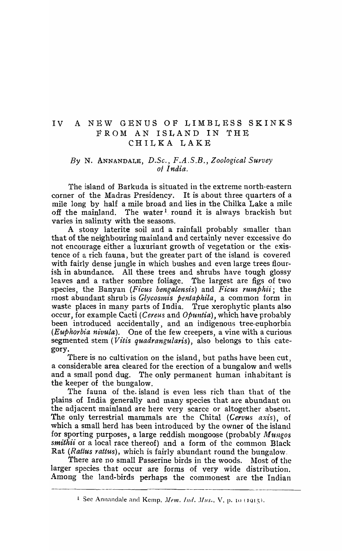# IV A NEW GENUS OF LIMBLESS SKINKS FROM AN lSI/AND IN THE CHILKA LAKE

# *By* N. ANNANDALE, *D.Sc., F.A.S.B., Zoological Survey of India.*

The island of Barkuda is situated in the extreme north-eastern corner of the Madras Presidency. It is about three quarters of a mile long by half a mile broad and lies in the Chilka Lake a mile off the mainland. The water<sup>1</sup> round it is always brackish but varies in salinity with the seasons.

A stony laterite soil and a rainfall probably smaller than that of the neighbouring mainland and certainly never· excessive do not encourage either a luxuriant growth of vegetation or the existence of a rich fauna, but the greater part of the island is covered with fairly dense jungle in which bushes and even large trees flourish in abundance. All these trees and shrubs have tough glossy leaves and a rather sombre foliage. The largest are figs of two species, the Banyan *(Ficus bengalensis)* and *Ficus rumphii;* the most abundant shrub is *Glycosmis pentaphila*, a common form in waste places in many parts of India. True xerophytic plants also occur, for example Cacti *(Cereus and Opuntia)*, which have probably been introduced accidentally, and an indigenous tree·euphorbia *(Euphorbia nivula).* One of the few creepers, a vine with a curious segmented stem *(Vitis quadrangularis)*, also belongs to this category.

There is no cultivation on the island, but paths have been cut, a considerable area cleared for the erection of a bungalow and wells and a small pond dug. The only permanent human inhabitant is the keeper of the bungalow.

The fauna of the island is even less rich than that of the plains of India generally and many species that are abundant on the adjacent mainland are here very scarce or altogether absent. The only terrestrial mammals are the Chital *(Cervus axis),* of which a small herd has been introduced by the owner of the island for sporting purposes, a large reddish mongoose (probably *Mungos smithii* or a local race thereof) and a form of the common Black Rat *(Rattus rattus)*, which is fairly abundant round the bungalow.

There are no small Passerine birds in the woods. Most of the larger species. that occur are forms of very wide distribution. Among the land-birds perhaps the commonest are the Indian

<sup>&</sup>lt;sup>1</sup> See Annandale and Kemp. *Mem. Ind. Mus.*, *V*, p. 10 (1915).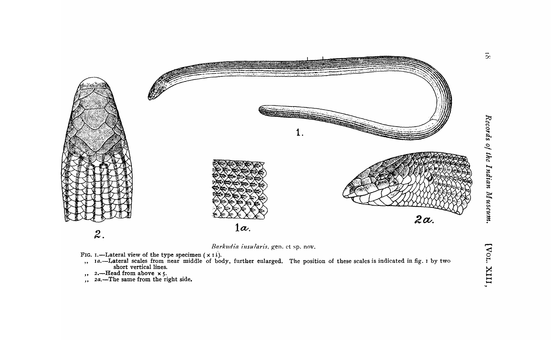





- FIG. I.—Lateral view of the type specimen  $(x 1)$ .<br>
,, 1a.—Lateral scales from near middle of body, further enlarged. The position of these scales is indicated in fig. 1 by two<br>
short vertical lines.<br>
,, 2a.—The same from
	-
	-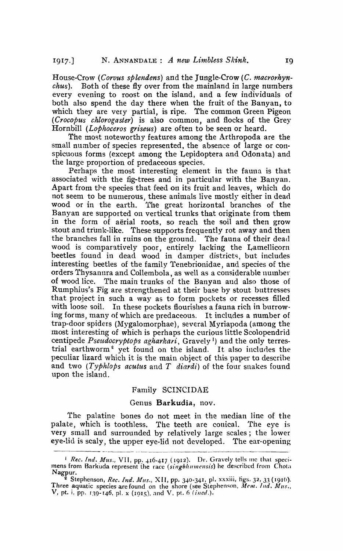House-Crow *(Corvus splendens)* and the Jungle-Crow *(C. macrorhynchus).* Both of these fly over from the mainland in large numbers every evening to roost on the island, and a few individuals of both also spend the day there when the fruit of the Banyan, to which they are very partial, is ripe. The common Green Pigeon *(Crocopus chlorogaster)* is also common, and flocks of the Grey Hornbill *(Lophoceros griseus)* are often to be seen or heard.

The most noteworthy features among the Arthropoda are the small number of species represented, the absence of large or conspicuous forms (except among the Lepidoptera and Odonata) and the large proportion of predaceous species.

Perhaps the most interesting element in the fauna is that associated with the fig-trees and in particular with the Banyan. Apart from *tpe* species that feed on its fruit and leaves, which do not seem to be numerous, these animals live mostly either in dead wood or in the earth. The great horizontal branches of the Banyan are supported on vertical trunks that originate from them in the form of aerial roots, so reach the soil and then grow stout and trunk-like. These supports frequently rot away and then the branches fall in ruins on the ground. The fauna of their dead wood is comparatively poor, entirely lacking the Lamellicorn beetles found in dead wood in damper districts, but includes interesting beetles of the family Tenebrionidae, and species of the orders Thysanura and Collembola, as well as a considerable number of wood lice. The main trunks of the Banyan and also those of Rumphius's Fig are strengthened at their base by stout bnttresses that project in such a way as to form pockets or recesses filled with loose soil. In these pockets flourishes a fauna rich in burrowing forms, many of which are predaceous. It includes a number of trap-door spiders (Mygalomorphae), several Myriapoda (among the most interesting of which is perhaps the curious little Scolopendrid centipede *Pseudocryptops agharkari*, Gravely<sup>1</sup>) and the only terrestrial earthworm<sup>2</sup> yet found on the island. It also includes the peculiar lizard which it is the main object of this paper to describe and two *(Typhlops acutus* and *T* diardi) of the four snakes found upon the island.

# Family SCINCIDAE

### Genus Barkudia, nov.

The palatine bones do not meet in the median line of the palate, which is toothless. The teeth are conical. The eye is very small and surrounded by relatively large scales; the lower eye-lid is scaly, the upper eye-lid not developed. The ear-opening

<sup>&</sup>lt;sup>1</sup> *Rec. Ind. Mus.,* VII, pp. 416-417 (1912). Dr. Gravely tells me that specimens from Barkuda represent the race *(singbhumensis)* he described from Chota Nagpur.

<sup>&</sup>lt;sup>2</sup> Stephenson, *Rec. Ind. Mus.*, XII, pp. 340-341, pl. xxxiii, figs. 32, 33 (1916). Three aquatic species are found on the shore (see Stephenson, *Mem. Ind. Mus.*, V, pt. i, pp. 139-146, pl. x (1915), and V, pt. 6 (ined.).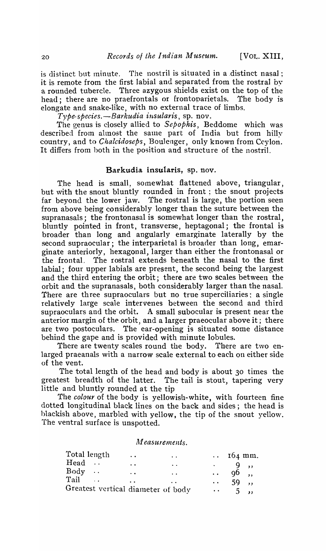is distinct but minute. The nostril is situated in a distinct nasal: it is remote from the first labial and separated from the rostral by<br>a rounded tubercle. Three azygous shields exist on the top of the a rounded tubercle. Three azygous shields exist on the top of the head; there are no praefrontals or frontoparietals. The body is elongate and snake-like, with no external trace of limbs.

*Type-species.—Barkudia insularis*, sp. nov.

The genus is closely allied to *Sepophis,* Beddome which was described from almost the same part of India but from hilly country, and to *Chalcidoseps,* Boulenger, only known from Ceylon. It differs from both in the position and structure of the nostril.

# Barkudia insularis, sp. nov.

The head is small, somewhat flattened above, triangular, but with the snout bluntly rounded in front; the snout projects far beyond the lower jaw. The rostral is large, the portion seen from above being considerably longer than the suture between the supranasals; the frontonasal is somewhat longer than the rostral, bluntly pointed in front, transverse, heptagonal; the frontal is broader than long and angularly emarginate laterally by the second supraocular; the interparietal is broader than long, emarginate anteriorly, hexagonal, larger than either the frontonasal or the frontal. The rostral extends beneath the nasal to the first labial; four upper labials are present, the second being the largest and the third entering the orbit; there are two scales between the orbit and the supranasals, both considerably larger than the nasal. There are three supraoculars but no true superciliaries: a single relatively large scale intervenes between the second and third supraoculars and the orbit. A small subocular is present near the anterior margin of the orbit, and a larger praeocular above it; there are two postoculars. The ear-opening is situated some distance behind the gape and is provided with minute lobules.

There are twenty scales round the body. There are two enlarged praeanals with a narrow scale external to each on either side of the vent.

The total length of the head and body is about 30 times the greatest breadth of the latter. The tail is stout, tapering very little and bluntly rounded at the tip

The *colour* of the body is yellowish-white, with fourteen fine dotted longitudinal black lines on the back and sides; the head is blackish above, marbled with yellow, the tip of the snout yellow. The ventral surface is unspotted.

#### *Measurements.*

| Total length | $\ddot{\phantom{1}}$               | $\ddot{\phantom{a}}$ |                      | $\cdots$ 164 mm. |  |
|--------------|------------------------------------|----------------------|----------------------|------------------|--|
| Head         | $\ddot{\phantom{a}}$               | $\ddot{\phantom{a}}$ | $\bullet$            | $\sim$ 10        |  |
| $Body \dots$ | $\ddot{\phantom{a}}$               | $\ddot{\phantom{a}}$ | $\ddot{\phantom{a}}$ | 96,              |  |
| Tail         | $\ddot{\phantom{a}}$               | . .                  | $\bullet$ $\bullet$  | 59               |  |
|              | Greatest vertical diameter of body |                      | $\ddot{\phantom{a}}$ | 5.               |  |